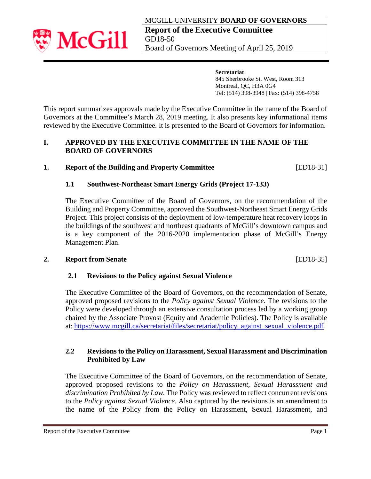

**Secretariat** 845 Sherbrooke St. West, Room 313 Montreal, QC, H3A 0G4 Tel: (514) 398-3948 | Fax: (514) 398-4758

This report summarizes approvals made by the Executive Committee in the name of the Board of Governors at the Committee's March 28, 2019 meeting. It also presents key informational items reviewed by the Executive Committee. It is presented to the Board of Governors for information.

## **I. APPROVED BY THE EXECUTIVE COMMITTEE IN THE NAME OF THE BOARD OF GOVERNORS**

# **1. Report of the Building and Property Committee** [ED18-31]

# **1.1 Southwest-Northeast Smart Energy Grids (Project 17-133)**

The Executive Committee of the Board of Governors, on the recommendation of the Building and Property Committee, approved the Southwest-Northeast Smart Energy Grids Project. This project consists of the deployment of low-temperature heat recovery loops in the buildings of the southwest and northeast quadrants of McGill's downtown campus and is a key component of the 2016-2020 implementation phase of McGill's Energy Management Plan.

## **2. Report from Senate** [ED18-35]

## **2.1 Revisions to the Policy against Sexual Violence**

The Executive Committee of the Board of Governors, on the recommendation of Senate, approved proposed revisions to the *Policy against Sexual Violence*. The revisions to the Policy were developed through an extensive consultation process led by a working group chaired by the Associate Provost (Equity and Academic Policies). The Policy is available at: [https://www.mcgill.ca/secretariat/files/secretariat/policy\\_against\\_sexual\\_violence.pdf](https://www.mcgill.ca/secretariat/files/secretariat/policy_against_sexual_violence.pdf)

## **2.2 Revisions to the Policy on Harassment, Sexual Harassment and Discrimination Prohibited by Law**

The Executive Committee of the Board of Governors, on the recommendation of Senate, approved proposed revisions to the *Policy on Harassment, Sexual Harassment and discrimination Prohibited by Law.* The Policy was reviewed to reflect concurrent revisions to the *Policy against Sexual Violence.* Also captured by the revisions is an amendment to the name of the Policy from the Policy on Harassment, Sexual Harassment, and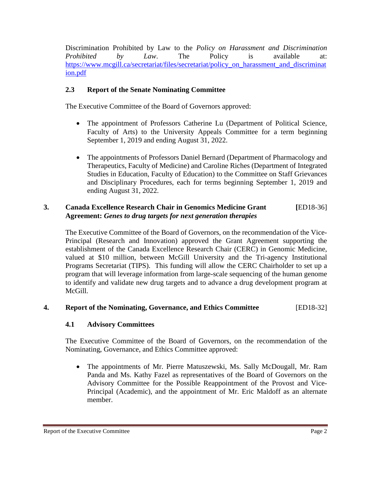Discrimination Prohibited by Law to the *Policy on Harassment and Discrimination Prohibited by Law*. The Policy is available at: https://www.mcgill.ca/secretariat/files/secretariat/policy on harassment and discriminat [ion.pdf](https://www.mcgill.ca/secretariat/files/secretariat/policy_on_harassment_and_discrimination.pdf)

# **2.3 Report of the Senate Nominating Committee**

The Executive Committee of the Board of Governors approved:

- The appointment of Professors Catherine Lu (Department of Political Science, Faculty of Arts) to the University Appeals Committee for a term beginning September 1, 2019 and ending August 31, 2022.
- The appointments of Professors Daniel Bernard (Department of Pharmacology and Therapeutics, Faculty of Medicine) and Caroline Riches (Department of Integrated Studies in Education, Faculty of Education) to the Committee on Staff Grievances and Disciplinary Procedures, each for terms beginning September 1, 2019 and ending August 31, 2022.

# **3. Canada Excellence Research Chair in Genomics Medicine Grant [**ED18-36] **Agreement:** *Genes to drug targets for next generation therapies*

The Executive Committee of the Board of Governors, on the recommendation of the Vice-Principal (Research and Innovation) approved the Grant Agreement supporting the establishment of the Canada Excellence Research Chair (CERC) in Genomic Medicine, valued at \$10 million, between McGill University and the Tri-agency Institutional Programs Secretariat (TIPS). This funding will allow the CERC Chairholder to set up a program that will leverage information from large-scale sequencing of the human genome to identify and validate new drug targets and to advance a drug development program at McGill.

## **4. Report of the Nominating, Governance, and Ethics Committee** [ED18-32]

## **4.1 Advisory Committees**

The Executive Committee of the Board of Governors, on the recommendation of the Nominating, Governance, and Ethics Committee approved:

• The appointments of Mr. Pierre Matuszewski, Ms. Sally McDougall, Mr. Ram Panda and Ms. Kathy Fazel as representatives of the Board of Governors on the Advisory Committee for the Possible Reappointment of the Provost and Vice-Principal (Academic), and the appointment of Mr. Eric Maldoff as an alternate member.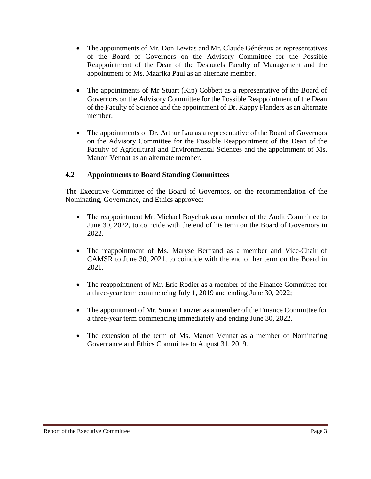- The appointments of Mr. Don Lewtas and Mr. Claude Généreux as representatives of the Board of Governors on the Advisory Committee for the Possible Reappointment of the Dean of the Desautels Faculty of Management and the appointment of Ms. Maarika Paul as an alternate member.
- The appointments of Mr Stuart (Kip) Cobbett as a representative of the Board of Governors on the Advisory Committee for the Possible Reappointment of the Dean of the Faculty of Science and the appointment of Dr. Kappy Flanders as an alternate member.
- The appointments of Dr. Arthur Lau as a representative of the Board of Governors on the Advisory Committee for the Possible Reappointment of the Dean of the Faculty of Agricultural and Environmental Sciences and the appointment of Ms. Manon Vennat as an alternate member.

# **4.2 Appointments to Board Standing Committees**

The Executive Committee of the Board of Governors, on the recommendation of the Nominating, Governance, and Ethics approved:

- The reappointment Mr. Michael Boychuk as a member of the Audit Committee to June 30, 2022, to coincide with the end of his term on the Board of Governors in 2022.
- The reappointment of Ms. Maryse Bertrand as a member and Vice-Chair of CAMSR to June 30, 2021, to coincide with the end of her term on the Board in 2021.
- The reappointment of Mr. Eric Rodier as a member of the Finance Committee for a three-year term commencing July 1, 2019 and ending June 30, 2022;
- The appointment of Mr. Simon Lauzier as a member of the Finance Committee for a three-year term commencing immediately and ending June 30, 2022.
- The extension of the term of Ms. Manon Vennat as a member of Nominating Governance and Ethics Committee to August 31, 2019.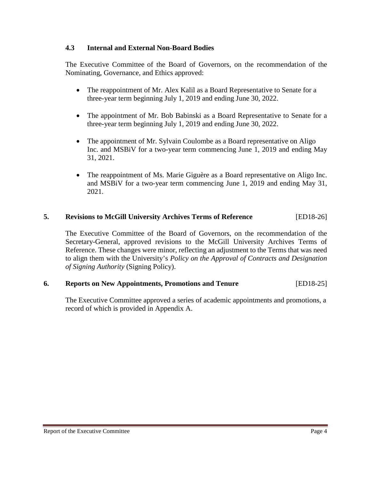## **4.3 Internal and External Non-Board Bodies**

The Executive Committee of the Board of Governors, on the recommendation of the Nominating, Governance, and Ethics approved:

- The reappointment of Mr. Alex Kalil as a Board Representative to Senate for a three-year term beginning July 1, 2019 and ending June 30, 2022.
- The appointment of Mr. Bob Babinski as a Board Representative to Senate for a three-year term beginning July 1, 2019 and ending June 30, 2022.
- The appointment of Mr. Sylvain Coulombe as a Board representative on Aligo Inc. and MSBiV for a two-year term commencing June 1, 2019 and ending May 31, 2021.
- The reappointment of Ms. Marie Giguère as a Board representative on Aligo Inc. and MSBiV for a two-year term commencing June 1, 2019 and ending May 31, 2021.

## **5. Revisions to McGill University Archives Terms of Reference** [ED18-26]

The Executive Committee of the Board of Governors, on the recommendation of the Secretary-General, approved revisions to the McGill University Archives Terms of Reference. These changes were minor, reflecting an adjustment to the Terms that was need to align them with the University's *Policy on the Approval of Contracts and Designation of Signing Authority* (Signing Policy).

## **6. Reports on New Appointments, Promotions and Tenure** [ED18-25]

The Executive Committee approved a series of academic appointments and promotions, a record of which is provided in Appendix A.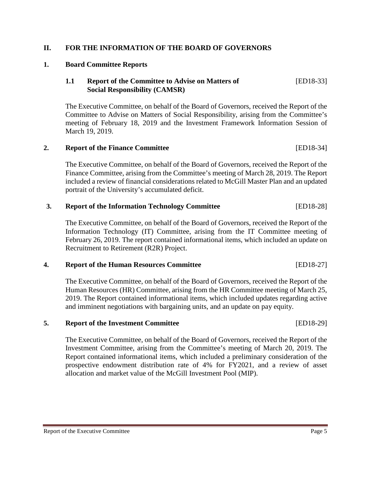### **II. FOR THE INFORMATION OF THE BOARD OF GOVERNORS**

#### **1. Board Committee Reports**

## **1.1 Report of the Committee to Advise on Matters of** [ED18-33] **Social Responsibility (CAMSR)**

The Executive Committee, on behalf of the Board of Governors, received the Report of the Committee to Advise on Matters of Social Responsibility, arising from the Committee's meeting of February 18, 2019 and the Investment Framework Information Session of March 19, 2019.

## **2. Report of the Finance Committee** [ED18-34]

The Executive Committee, on behalf of the Board of Governors, received the Report of the Finance Committee, arising from the Committee's meeting of March 28, 2019. The Report included a review of financial considerations related to McGill Master Plan and an updated portrait of the University's accumulated deficit.

### **3. Report of the Information Technology Committee** [ED18-28]

The Executive Committee, on behalf of the Board of Governors, received the Report of the Information Technology (IT) Committee, arising from the IT Committee meeting of February 26, 2019. The report contained informational items, which included an update on Recruitment to Retirement (R2R) Project.

### **4. Report of the Human Resources Committee** [ED18-27]

The Executive Committee, on behalf of the Board of Governors, received the Report of the Human Resources (HR) Committee, arising from the HR Committee meeting of March 25, 2019. The Report contained informational items, which included updates regarding active and imminent negotiations with bargaining units, and an update on pay equity.

#### **5. Report of the Investment Committee** [ED18-29]

The Executive Committee, on behalf of the Board of Governors, received the Report of the Investment Committee, arising from the Committee's meeting of March 20, 2019. The Report contained informational items, which included a preliminary consideration of the prospective endowment distribution rate of 4% for FY2021, and a review of asset allocation and market value of the McGill Investment Pool (MIP).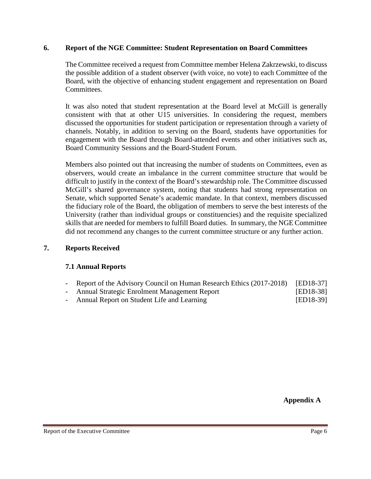### **6. Report of the NGE Committee: Student Representation on Board Committees**

The Committee received a request from Committee member Helena Zakrzewski, to discuss the possible addition of a student observer (with voice, no vote) to each Committee of the Board, with the objective of enhancing student engagement and representation on Board Committees.

It was also noted that student representation at the Board level at McGill is generally consistent with that at other U15 universities. In considering the request, members discussed the opportunities for student participation or representation through a variety of channels. Notably, in addition to serving on the Board, students have opportunities for engagement with the Board through Board-attended events and other initiatives such as, Board Community Sessions and the Board-Student Forum.

Members also pointed out that increasing the number of students on Committees, even as observers, would create an imbalance in the current committee structure that would be difficult to justify in the context of the Board's stewardship role. The Committee discussed McGill's shared governance system, noting that students had strong representation on Senate, which supported Senate's academic mandate. In that context, members discussed the fiduciary role of the Board, the obligation of members to serve the best interests of the University (rather than individual groups or constituencies) and the requisite specialized skills that are needed for members to fulfill Board duties. In summary, the NGE Committee did not recommend any changes to the current committee structure or any further action.

## **7. Reports Received**

## **7.1 Annual Reports**

- Report of the Advisory Council on Human Research Ethics (2017-2018) [ED18-37]
- Annual Strategic Enrolment Management Report [ED18-38]
- Annual Report on Student Life and Learning [ED18-39]

**Appendix A**